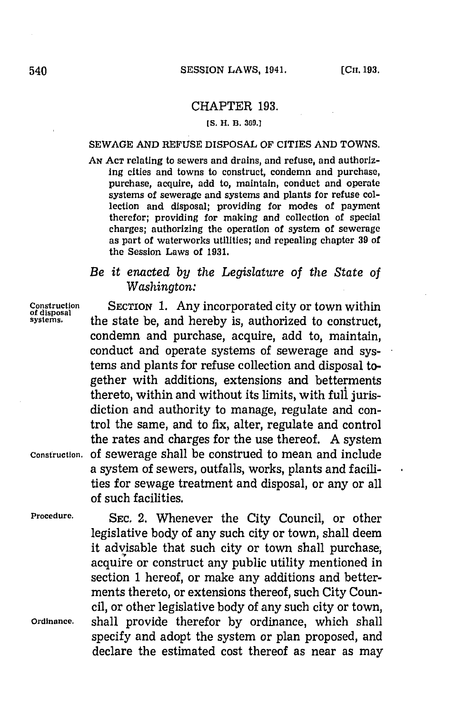## CHAPTER **193.**

### **[S. H. B. 369.]**

### **SEWAGE AND REFUSE DISPOSAL OF CITIES AND TOWNS.**

**AN ACT** relating to sewers and drains, and refuse, and authorizing cities and towns to construct, condemn and purchase, purchase, acquire, add to, maintain, conduct and operate systems of sewerage and systems and plants for refuse collection and disposal; providing for modes of payment therefor; providing for making and collection of special charges; authorizing the operation of system of sewerage as part of waterworks utilities; and repealing chapter **39** of the Session Laws of **1931.**

# *Be it enacted by the Legislature of the State of Washington:*

**Construction SECTION 1.** Any incorporated city or town within **of disposal systems.** the state be, and hereby is, authorized to construct, condemn and purchase, acquire, add to, maintain, conduct and operate systems of sewerage and systems and plants for refuse collection and disposal together with additions, extensions and betterments thereto, within and without its limits, with full jurisdiction and authority to manage, regulate and control the same, and to fix, alter, regulate and control the rates and charges for the use thereof. **A** system **Construction, Of** sewerage shall be construed to mean and include a system of sewers, outfalls, works, plants and facilities for sewage treatment and disposal, or any or all of such facilities.

**Procedure. SEC.** 2. Whenever the City Council, or other legislative body of any such city or town, shall deem it advisable that such city or town shall purchase, acquire or construct any public utility mentioned in section **1** hereof, or make any additions and betterments thereto, or extensions thereof, such City Council, or other legislative body of any such city or town, **Ordinance,** shall provide therefor **by** ordinance, which shall specify and adopt the system or plan proposed, and declare the estimated cost thereof as near as may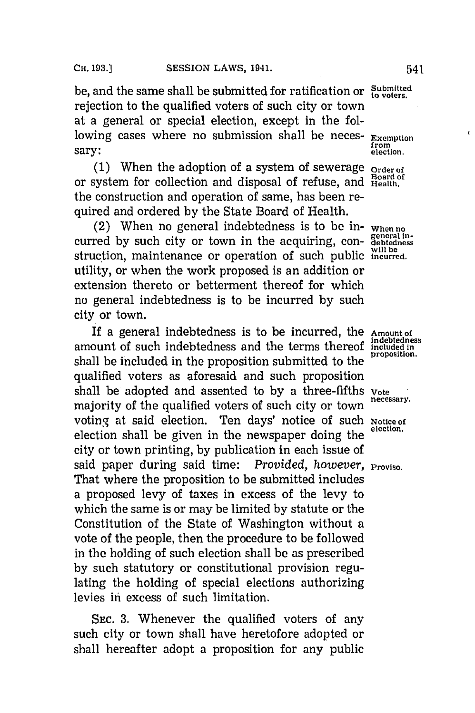be, and the same shall be submitted for ratification or  $\frac{\text{Submitted}}{\text{to voters}}$ rejection to the qualified voters of such city or town at a general or special election, except in the following cases where no submission shall be neces- **Exemption**<br> **EXEM from** sary: **election** 

**(1)** When the adoption of a system of sewerage **Order of** or system for collection and disposal of refuse, and **Health**. the construction and operation of same, has been required and ordered **by** the State Board of Health.

(2) When no general indebtedness is to be in- **When no** curred **by** such city or town in the acquiring, con- **genesn** struction, maintenance or operation of such public *incurred*. utility, or when the work proposed is an addition or extension thereto or betterment thereof for which no general indebtedness is to be incurred **by** such city or town.

If a general indebtedness is to be incurred, the **Amount of Indebtedness** amount of such indebtedness and the terms thereof **included In** shall be included in the proposition submitted to the qualified voters as aforesaid and such proposition shall be adopted and assented to by a three-fifths vote necessary. majority of the qualified voters of such city or town voting at said election. Ten days' notice of such **Notice of** election shall be given in the newspaper doing the city or town printing, **by** publication in each issue of said paper during said time: *Provided, however*, *Proviso.* That where the proposition to be submitted includes a proposed levy of taxes in excess of the levy to which the same is or may be limited **by** statute or the Constitution of the State of Washington without a vote of the people, then the procedure to be followed in the holding of such election shall be as prescribed **by** such statutory or constitutional provision regulating the holding of special elections authorizing levies in excess of such limitation.

**SEC. 3.** Whenever the qualified voters of any such city or town shall have heretofore adopted or shall hereafter adopt a proposition for any public

ł.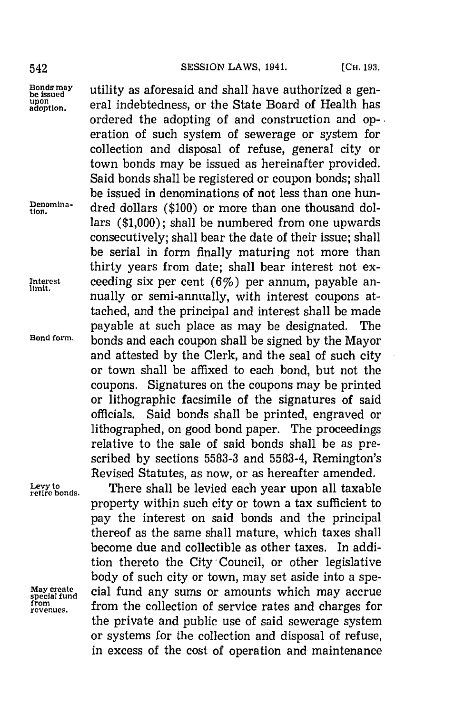**Levy to**

**bondssmay** utility as aforesaid and shall have authorized a gen upon<br>adoption. eral indebtedness, or the State Board of Health has ordered the adopting of and construction and op-. eration of such system of sewerage or system for collection and disposal of refuse, general city or town bonds may be issued as hereinafter provided. Said bonds shall be registered or coupon bonds; shall be issued in denominations of not less than one hun**teiona-** dred dollars **(\$100)** or more than one thousand dollars **(\$1,000);** shall be numbered from one upwards consecutively; shall bear the date of their issue; shall be serial in form finally maturing not more than thirty years from date; shall bear interest not ex-Interest ceeding six per cent  $(6\%)$  per annum, payable annually or semi-annually, with interest coupons attached, and the principal and interest shall be made payable at such place as may be designated. The **Bond form,** bonds and each coupon shall be signed **by** the Mayor and attested **by** the Clerk, and the seal of such city or town shall be affixed to each bond, but not the coupons. Signatures on the coupons may be printed or lithographic facsimile of the signatures of said officials. Said bonds shall be printed, engraved or lithographed, on good bond paper. The proceedings relative to the sale of said bonds shall be as prescribed **by** sections **5583-3** and **5583-4,** Remington's Revised Statutes, as now, or as hereafter amended.

There shall be levied each year upon all taxable property within such city or town a tax sufficient to pay the interest on said bonds and the principal thereof as the same shall mature, which taxes shall become due and collectible as other taxes. In addition thereto the City-Council, or other legislative body of such city or town, may set aside into a spe-**May create** cial fund any sums or amounts which may accrue **special fund reeues.** from the collection of service rates and charges for the private and public use of said sewerage system or systems for the collection and disposal of refuse, in excess of the cost of operation and maintenance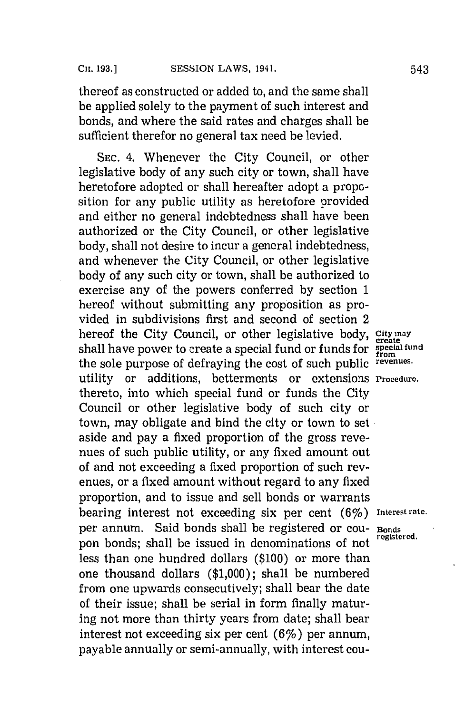thereof as constructed or added to, and the same shall be applied solely to the payment of such interest and bonds, and where the said rates and charges shall be sufficient therefor no general tax need be levied.

**SEC.** 4. Whenever the City Council, or other legislative body of any such city or town, shall have heretofore adopted or shall hereafter adopt a proposition for any public utility as heretofore provided and either no general indebtedness shall have been authorized or the City Council, or other legislative body, shall not desire to incur a general indebtedness, and whenever the City Council, or other legislative body of any such city or town, shall be authorized to exercise any of the powers conferred **by** section **1** hereof without submitting any proposition as provided in subdivisions first and second of section 2 hereof the City Council, or other legislative body, City **may** shall have power to create a special fund or funds for **special fund** the sole purpose of defraying the cost of such public **revenues.** utility or additions, betterments or extensions **Procedure.** thereto, into which special fund or funds the City Council or other legislative body of such city or town, may obligate and bind the city or town to set aside and pay a fixed proportion of the gross revenues of such public utility, or any fixed amount out of and not exceeding a fixed proportion of such revenues, or a fixed amount without regard to any fixed proportion, and to issue and sell bonds or warrants bearing interest not exceeding six per cent (6%) **Interest rate.** per annum. Said bonds shall be registered or cou- **Bonds** pon bonds; shall be issued in denominations of not less than one hundred dollars **(\$100)** or more than one thousand dollars **(\$1,000);** shall be numbered from one upwards consecutively; shall bear the date of their issue; shall be serial in form finally maturing not more than thirty years from date; shall bear interest not exceeding six per cent  $(6\%)$  per annum, payable annually or semi-annually, with interest cou-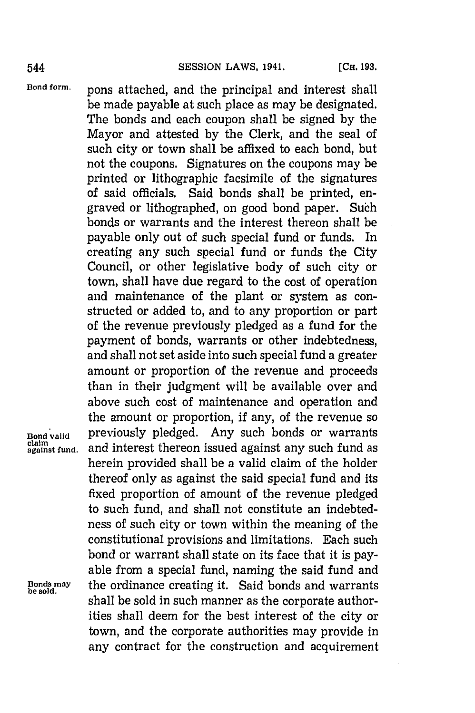**Bond form.** pons attached, and the principal and interest shall be made payable at such place as may be designated. The bonds and each coupon shall be signed **by** the Mayor and attested **by** the Clerk, and the seal of such city or town shall be affixed to each bond, but not the coupons. Signatures on the coupons may be printed or lithographic facsimile of the signatures of said officials. Said bonds shall be printed, engraved or lithographed, on good bond paper. Such bonds or warrants and the interest thereon shall be payable only out of such special fund or funds. In creating any such special fund or funds the City Council, or other legislative body of such city or town, shall have due regard to the cost of operation and maintenance of the plant or system as constructed or added to, and to any proportion or part of the revenue previously pledged as a fund for the payment of bonds, warrants or other indebtedness, and shall not set aside into such special fund a greater amount or proportion of the revenue and proceeds than in their judgment will be available over and above such cost of maintenance and operation and the amount or proportion, if any, of the revenue so **Bond valid** previously pledged. Any such bonds or warrants **aantfund,** and interest thereon issued against any such fund as herein provided shall be a valid claim of the holder thereof only as against the said special fund and its fixed proportion of amount of the revenue pledged to such fund, and shall not constitute an indebtedness of such city or town within the meaning of the constitutional provisions and limitations. Each such bond or warrant shall state on its face that it is payable from a special fund, naming the said fund and **Bonds may** the ordinance creating it. Said bonds and warrants **be sold.** shall be sold in such manner as the corporate authorities shall deem for the best interest of the city or town, and the corporate authorities may provide in any contract for the construction and acquirement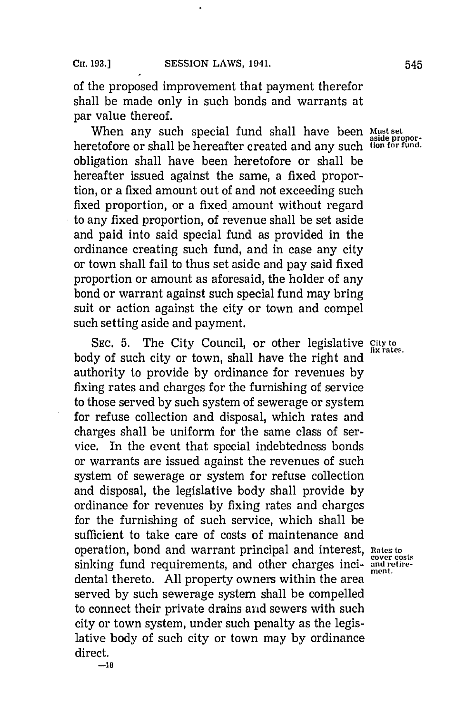of the proposed improvement that payment therefor shall be made only in such bonds and warrants at par value thereof.

When any such special fund shall have been **Must set** heretofore or shall be hereafter created and any such tion for fund. obligation shall have been heretofore or shall be hereafter issued against the same, a fixed proportion, or a fixed amount out of and not exceeding such fixed proportion, or a fixed amount without regard to any fixed proportion, of revenue shall be set aside and paid into said special fund as provided in the ordinance creating such fund, and in case any city or town shall fail to thus set aside and pay said fixed proportion or amount as aforesaid, the holder of any bond or warrant against such special fund may bring suit or action against the city or town and compel such setting aside and payment.

SEC. 5. The City Council, or other legislative City to *s* rates. body of such city or town, shall have the right and authority to provide **by** ordinance for revenues **by** fixing rates and charges for the furnishing of service to those served **by** such system of sewerage or system for refuse collection and disposal, which rates and charges shall be uniform for the same class of service. In the event that special indebtedness bonds or warrants are issued against the revenues of such system of sewerage or system for refuse collection and disposal, the legislative body shall provide **by** ordinance for revenues **by** fixing rates and charges for the furnishing of such service, which shall be sufficient to take care of costs of maintenance and operation, bond and warrant principal and interest, **Rates to** sinking fund requirements, and other charges inci- **and retire-ment.** dental thereto. **All** property owners within the area served **by** such sewerage system shall be compelled to connect their private drains and sewers with such city or town system, under such penalty as the legislative body of such city or town may **by** ordinance direct.

**-18**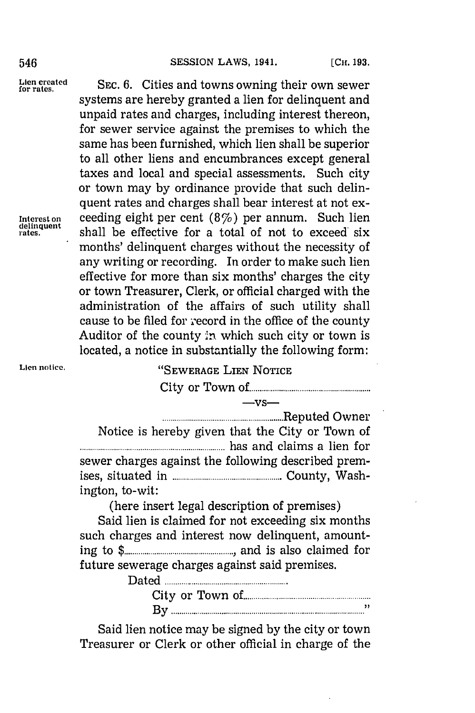## 546 **SESSION LAWS, 1941.** [CH. 193.]

systems are hereby granted a lien for delinquent and unpaid rates and charges, including interest thereon,

Lien created SEC. 6. Cities and towns owning their own sewer

for sewer service against the premises to which the same has been furnished, which lien shall be superior to all other liens and encumbrances except general taxes and local and special assessments. Such city or town may **by** ordinance provide that such delinquent rates and charges shall bear interest at not ex-**Interest on** ceeding eight per cent (8%) per annum. Such lien deilinguent shall be effective for a total of not to exceed six months' delinquent charges without the necessity of any writing or recording. In order to make such lien effective for more than six months' charges the city or town Treasurer, Clerk, or official charged with the administration of the affairs of such utility shall cause to be filed for record in the office of the county Auditor of the county in which such city or town is

# Lien notice. **WALK** SEWERAGE LIEN NOTICE

**-vs-**

located, a notice in substantially the following form:

City or Tow n of **................................**

| Notice is hereby given that the City or Town of     |  |
|-----------------------------------------------------|--|
|                                                     |  |
| sewer charges against the following described prem- |  |
|                                                     |  |
| ington, to-wit:                                     |  |
|                                                     |  |

(here insert legal description of premises)

Said lien is claimed for not exceeding six months such charges and interest now delinquent, amounting to **\$ ....................... .......** and is also claim ed for future sewerage charges against said premises.

| Datec |   |  |
|-------|---|--|
|       |   |  |
|       | ᅩ |  |

Said lien notice may be signed **by** the city or town Treasurer or Clerk or other official in charge of the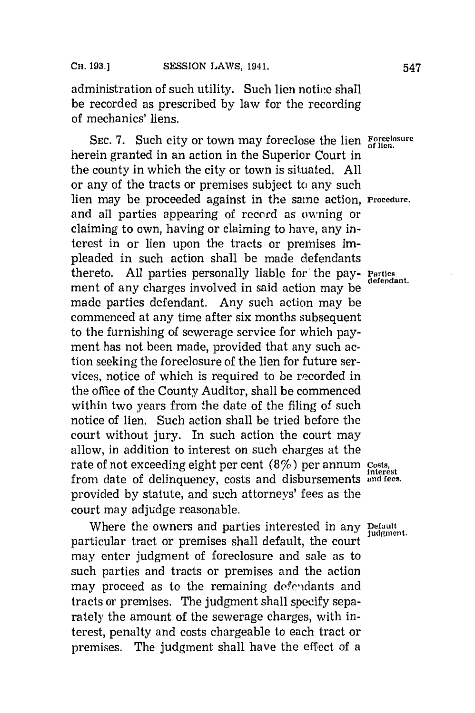administration of such utility. Such lien notice shall be recorded as prescribed **by** law for the recording of mechanics' liens.

**SEC. 7.** Such city or town may foreclose the lien **Foreclosure of lien.** herein granted in an action in the Superior Court in the county in which the city or town is situated. **All** or any of the tracts or premises subject to any such lien may be proceeded against in the saine action, **Procedure.** and all parties appearing of record as owning or claiming to own, having or claiming to have, any interest in or lien upon the tracts or premises impleaded in such action shall be made defendants preaded in such action control of the pay- Parties<br>thereto. All parties personally liable for the pay- Parties ment of any charges involved in said action may be made parties defendant. Any such action may be commenced at any time after six months subsequent to the furnishing of sewerage service for which payment has not been made, provided that any such action seeking the foreclosure of the lien for future services, notice of which is required to be recorded in the office of the County Auditor, shall be commenced within two years from the date of the filing of such notice of lien. Such action shall be tried before the court without jury. In such action the court may allow, in addition to interest on such charges at the rate of not exceeding eight per cent (8%7) per annum **costs, interest** from date of delinquency, costs and disbursements **and fees.** provided **by** statute, and such attorneys' fees as the court may adjudge reasonable.

Where the owners and parties interested in any **Default** particular tract or premises shall default, the court may enter judgment of foreclosure and sale as to such parties and tracts or premises and the action may proceed as to the remaining defendants and tracts or premises. The judgment shall specify separately the amount of the sewerage charges, with interest, penalty and costs chargeable to each tract or premises. The judgment shall have the effect of a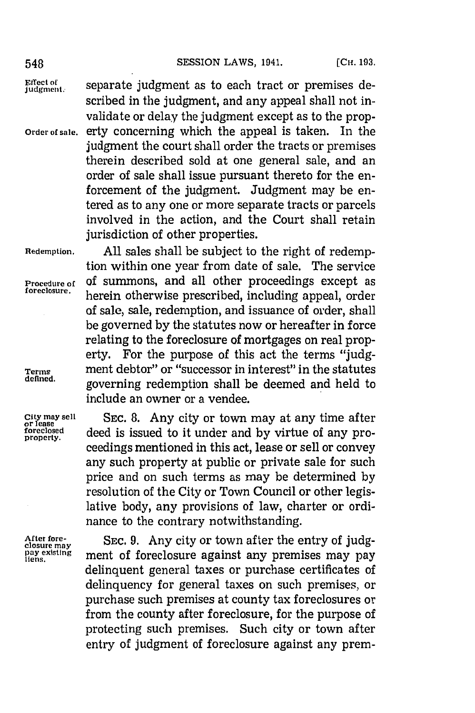Effect of separate judgment as to each tract or premises de-<br>judgment. scribed in the judgment, and any appeal shall not invalidate or delay the judgment except as to the prop-**Order of sale.** erty concerning which the appeal is taken. In the judgment the court shall order the tracts or premises therein described sold at one general sale, and an order of sale shall issue pursuant thereto for the enforcement of the judgment. Judgment may be entered as to any one or more separate tracts or parcels involved in the action, and the Court shall retain jurisdiction of other properties.

**Redemption. All** sales shall be subject to the right of redemption within one year from date of sale. The service **Procedure of Of summons, and all other proceedings except as foreclosure. Leaving otherwise manufacture foreclosure,** herein otherwise prescribed, including appeal, order of sale, sale, redemption, and issuance of order, shall be governed **by** the statutes now or hereafter in force relating to the foreclosure of mortgages on real property. For the purpose of this act the terms **"judg-Terms** ment debtor" or "successor in interest" in the statutes **defined.** governing redemption shall be deemed and held to include an owner or a vendee.

**City may sell SEC. 8.** Any city or town may at any time after **or lease foreceosed** deed is issued to it under and **by** virtue of any proceedings mentioned in this act, lease or sell or convey any such property at public or private sale for such price and on such terms as may be determined **by** resolution of the City or Town Council or other legislative body, any provisions of law, charter or ordinance to the contrary notwithstanding.

After fore-<br>closure may SEC. 9. Any city or town after the entry of judg-<br>
<u>pay</u> existing ment of foreclosure against any premises may pay ment of foreclosure against any premises may pay delinquent general taxes or purchase certificates of delinquency for general taxes on such premises, or purchase such premises at county tax foreclosures or from the county after foreclosure, for the purpose of protecting such premises. Such city or town after entry of judgment of foreclosure against any pren--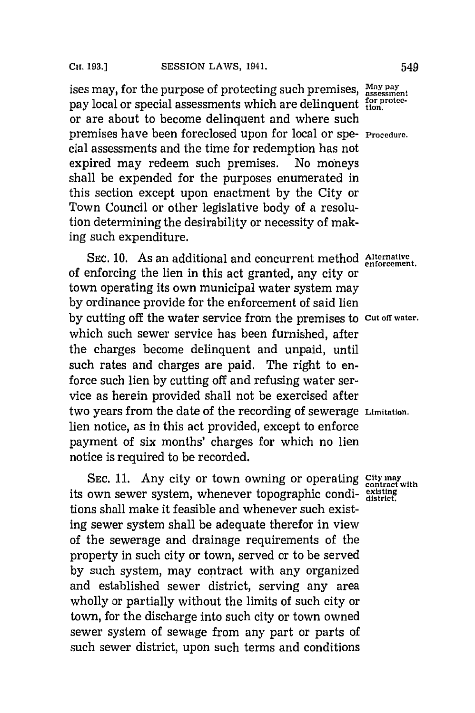ises may, for the purpose of protecting such premises,  $\frac{May}{assessment}$ pay local or special assessments which are delinquent  $f_{\text{top}}^{\text{for price}}$ or are about to become delinquent and where such premises have been foreclosed upon for local or spe- **Procedure.** cial assessments and the time for redemption has not<br>expired may redeem such premises. No moneys expired may redeem such premises. shall be expended for the purposes enumerated in this section except upon enactment **by** the City or Town Council or other legislative body of a resolution determining the desirability or necessity of making such expenditure.

**SEC. 10.** As an additional and concurrent method **Alternative** of enforcing the lien in this act granted, any city or town operating its own municipal water system may **by** ordinance provide for the enforcement of said lien **by** cutting off the water service from the premises to **cut** off **water.** which such sewer service has been furnished, after the charges become delinquent and unpaid, until such rates and charges are paid. The right to enforce such lien **by** cutting off and refusing water service as herein provided shall not be exercised after two years from the date of the recording of sewerage **Limitation.** lien notice, as in this act provided, except to enforce payment of six months' charges for which no lien notice is required to be recorded.

SEC. 11. Any city or town owning or operating City may its own sewer system, whenever topographic condi- existing tions shall make it feasible and whenever such existing sewer system shall be adequate therefor in view of the sewerage and drainage requirements of the property in such city or town, served or to be served **by** such system, may contract with any organized and established sewer district, serving any area wholly or partially without the limits of such city or town, for the discharge into such city or town owned sewer system of sewage from any part or parts of such sewer district, upon such terms and conditions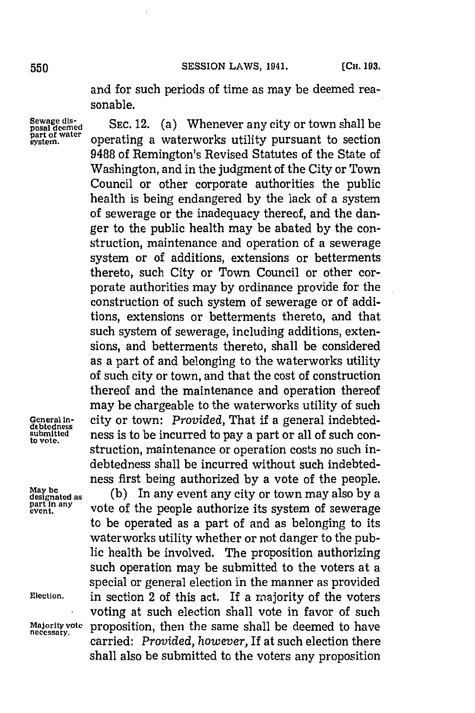and for such periods of time as may be deemed reasonable.

Sewage dis-<br>posal deemed **SEC. 12.** (a) Whenever any city or town shall **Sewage dis-**<br> **with a water any city or town shall be**<br> **post of water**<br> **water**<br> **with a waterworks utility pursuant to section**<br> **exater 9488** of Remington's Revised Statutes of the State of Washington, and in the judgment of the City or Town Council or other corporate authorities the public health is being endangered **by** the lack of a system of sewerage or the inadequacy thereof, and the danger to the public health may be abated **by** the construction, maintenance and operation of a sewerage system or of additions, extensions or betterments thereto, such City or Town Council or other corporate authorities may **by** ordinance provide for the construction of such system of sewerage or of additions, extensions or betterments thereto, and that such system of sewerage, including additions, extensions, and betterments thereto, shall be considered as a part of and belonging to the waterworks utility of such city or town, and that the cost of construction thereof and the maintenance and operation thereof may be chargeable to the waterworks utility of such General in-<br>
debtedness<br>
submitted<br>
ness is to be incurred to pay a part or all of such consubmitted **ness** is to be incurred to pay a part or all of such construction, maintenance or operation costs no such indebtedness shall be incurred without such indebtedness first being authorized **by** a vote of the people.

**May be<br>designated as<br>part in any<br>event.** 

**designated as (b)** In any event any city or town may also **by** a vote of the people authorize its system of sewerage to be operated as a part of and as belonging to its waterworks utility whether or not danger to the public health be involved. The proposition authorizing such operation may be submitted to the voters at a special or general election in the manner as provided Election. **in section 2 of this act.** If a majority of the voters voting at such election shall vote in favor of such Majority vote proposition, then the same shall be deemed to have<br>necessary. <br>carried: *Provided, however*, If at such election there shall also be submitted to the voters any proposition